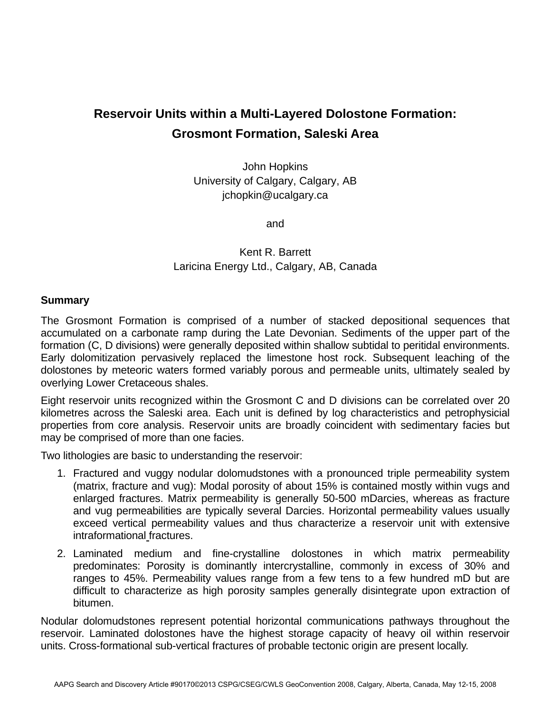## **Reservoir Units within a Multi-Layered Dolostone Formation: Grosmont Formation, Saleski Area**

John Hopkins University of Calgary, Calgary, AB jchopkin@ucalgary.ca

and

## Kent R. Barrett Laricina Energy Ltd., Calgary, AB, Canada

## **Summary**

The Grosmont Formation is comprised of a number of stacked depositional sequences that accumulated on a carbonate ramp during the Late Devonian. Sediments of the upper part of the formation (C, D divisions) were generally deposited within shallow subtidal to peritidal environments. Early dolomitization pervasively replaced the limestone host rock. Subsequent leaching of the dolostones by meteoric waters formed variably porous and permeable units, ultimately sealed by overlying Lower Cretaceous shales.

Eight reservoir units recognized within the Grosmont C and D divisions can be correlated over 20 kilometres across the Saleski area. Each unit is defined by log characteristics and petrophysicial properties from core analysis. Reservoir units are broadly coincident with sedimentary facies but may be comprised of more than one facies.

Two lithologies are basic to understanding the reservoir:

- 1. Fractured and vuggy nodular dolomudstones with a pronounced triple permeability system (matrix, fracture and vug): Modal porosity of about 15% is contained mostly within vugs and enlarged fractures. Matrix permeability is generally 50-500 mDarcies, whereas as fracture and vug permeabilities are typically several Darcies. Horizontal permeability values usually exceed vertical permeability values and thus characterize a reservoir unit with extensive intraformational fractures.
- 2. Laminated medium and fine-crystalline dolostones in which matrix permeability predominates: Porosity is dominantly intercrystalline, commonly in excess of 30% and ranges to 45%. Permeability values range from a few tens to a few hundred mD but are difficult to characterize as high porosity samples generally disintegrate upon extraction of bitumen.

Nodular dolomudstones represent potential horizontal communications pathways throughout the reservoir. Laminated dolostones have the highest storage capacity of heavy oil within reservoir units. Cross-formational sub-vertical fractures of probable tectonic origin are present locally.